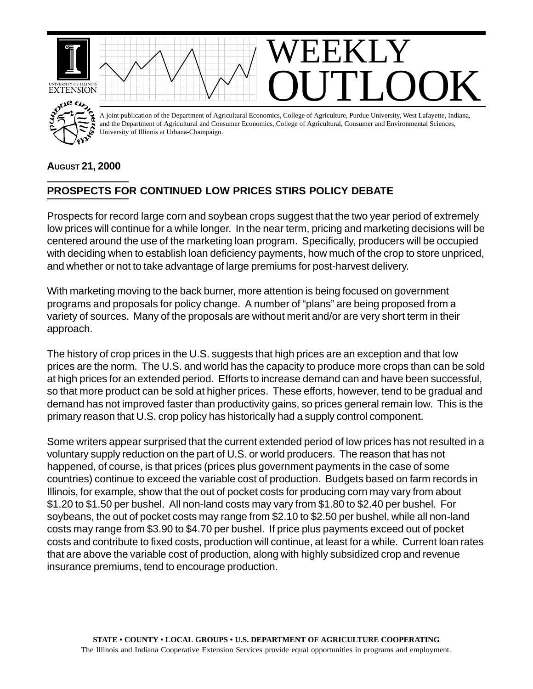

## **AUGUST 21, 2000**

## **PROSPECTS FOR CONTINUED LOW PRICES STIRS POLICY DEBATE**

Prospects for record large corn and soybean crops suggest that the two year period of extremely low prices will continue for a while longer. In the near term, pricing and marketing decisions will be centered around the use of the marketing loan program. Specifically, producers will be occupied with deciding when to establish loan deficiency payments, how much of the crop to store unpriced, and whether or not to take advantage of large premiums for post-harvest delivery.

With marketing moving to the back burner, more attention is being focused on government programs and proposals for policy change. A number of "plans" are being proposed from a variety of sources. Many of the proposals are without merit and/or are very short term in their approach.

The history of crop prices in the U.S. suggests that high prices are an exception and that low prices are the norm. The U.S. and world has the capacity to produce more crops than can be sold at high prices for an extended period. Efforts to increase demand can and have been successful, so that more product can be sold at higher prices. These efforts, however, tend to be gradual and demand has not improved faster than productivity gains, so prices general remain low. This is the primary reason that U.S. crop policy has historically had a supply control component.

Some writers appear surprised that the current extended period of low prices has not resulted in a voluntary supply reduction on the part of U.S. or world producers. The reason that has not happened, of course, is that prices (prices plus government payments in the case of some countries) continue to exceed the variable cost of production. Budgets based on farm records in Illinois, for example, show that the out of pocket costs for producing corn may vary from about \$1.20 to \$1.50 per bushel. All non-land costs may vary from \$1.80 to \$2.40 per bushel. For soybeans, the out of pocket costs may range from \$2.10 to \$2.50 per bushel, while all non-land costs may range from \$3.90 to \$4.70 per bushel. If price plus payments exceed out of pocket costs and contribute to fixed costs, production will continue, at least for a while. Current loan rates that are above the variable cost of production, along with highly subsidized crop and revenue insurance premiums, tend to encourage production.